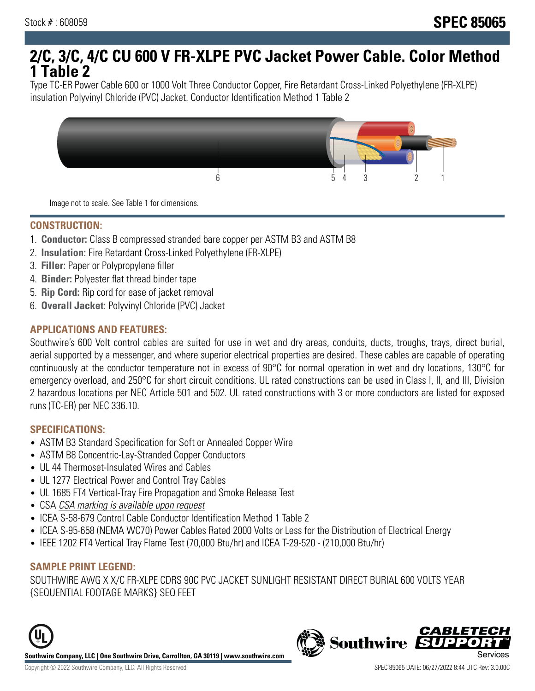# **2/C, 3/C, 4/C CU 600 V FR-XLPE PVC Jacket Power Cable. Color Method 1 Table 2**

Type TC-ER Power Cable 600 or 1000 Volt Three Conductor Copper, Fire Retardant Cross-Linked Polyethylene (FR-XLPE) insulation Polyvinyl Chloride (PVC) Jacket. Conductor Identification Method 1 Table 2



Image not to scale. See Table 1 for dimensions.

#### **CONSTRUCTION:**

- 1. **Conductor:** Class B compressed stranded bare copper per ASTM B3 and ASTM B8
- 2. **Insulation:** Fire Retardant Cross-Linked Polyethylene (FR-XLPE)
- 3. **Filler:** Paper or Polypropylene filler
- 4. **Binder:** Polyester flat thread binder tape
- 5. **Rip Cord:** Rip cord for ease of jacket removal
- 6. **Overall Jacket:** Polyvinyl Chloride (PVC) Jacket

## **APPLICATIONS AND FEATURES:**

Southwire's 600 Volt control cables are suited for use in wet and dry areas, conduits, ducts, troughs, trays, direct burial, aerial supported by a messenger, and where superior electrical properties are desired. These cables are capable of operating continuously at the conductor temperature not in excess of 90°C for normal operation in wet and dry locations, 130°C for emergency overload, and 250°C for short circuit conditions. UL rated constructions can be used in Class I, II, and III, Division 2 hazardous locations per NEC Article 501 and 502. UL rated constructions with 3 or more conductors are listed for exposed runs (TC-ER) per NEC 336.10.

#### **SPECIFICATIONS:**

- ASTM B3 Standard Specification for Soft or Annealed Copper Wire
- ASTM B8 Concentric-Lay-Stranded Copper Conductors
- UL 44 Thermoset-Insulated Wires and Cables
- UL 1277 Electrical Power and Control Tray Cables
- UL 1685 FT4 Vertical-Tray Fire Propagation and Smoke Release Test
- CSA CSA marking is available upon request
- ICEA S-58-679 Control Cable Conductor Identification Method 1 Table 2
- ICEA S-95-658 (NEMA WC70) Power Cables Rated 2000 Volts or Less for the Distribution of Electrical Energy
- IEEE 1202 FT4 Vertical Tray Flame Test (70,000 Btu/hr) and ICEA T-29-520 (210,000 Btu/hr)

#### **SAMPLE PRINT LEGEND:**

SOUTHWIRE AWG X X/C FR-XLPE CDRS 90C PVC JACKET SUNLIGHT RESISTANT DIRECT BURIAL 600 VOLTS YEAR {SEQUENTIAL FOOTAGE MARKS} SEQ FEET